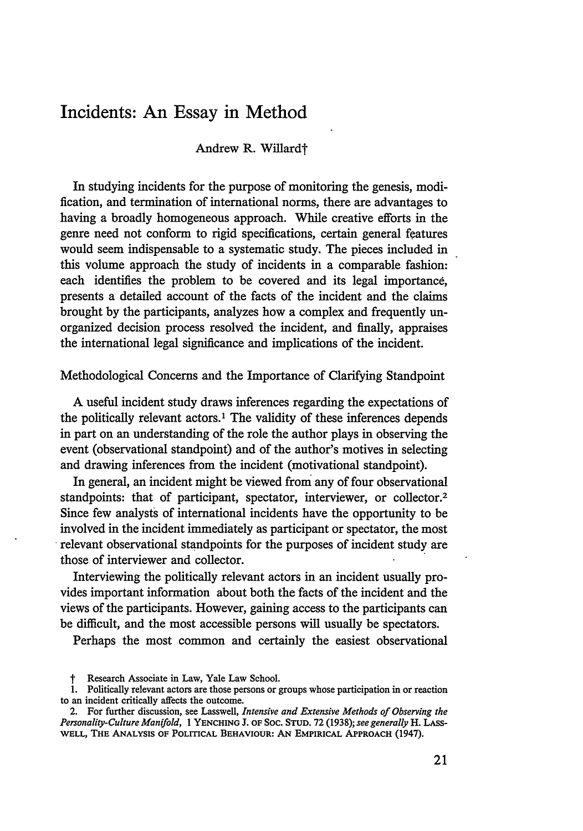# Incidents: An Essay in Method

## Andrew R. Willardt

In studying incidents for the purpose of monitoring the genesis, modification, and termination of international norms, there are advantages to having a broadly homogeneous approach. While creative efforts in the genre need not conform to rigid specifications, certain general features would seem indispensable to a systematic study. The pieces included in this volume approach the study of incidents in a comparable fashion: each identifies the problem to be covered and its legal importance, presents a detailed account of the facts of the incident and the claims brought by the participants, analyzes how a complex and frequently unorganized decision process resolved the incident, and finally, appraises the international legal significance and implications of the incident.

## Methodological Concerns and the Importance of Clarifying Standpoint

A useful incident study draws inferences regarding the expectations of the politically relevant actors.' The validity of these inferences depends in part on an understanding of the role the author plays in observing the event (observational standpoint) and of the author's motives in selecting and drawing inferences from the incident (motivational standpoint).

In general, an incident might be viewed from any of four observational standpoints: that of participant, spectator, interviewer, or collector.<sup>2</sup> Since few analysts of international incidents have the opportunity to be involved in the incident immediately as participant or spectator, the most relevant observational standpoints for the purposes of incident study are those of interviewer and collector.

Interviewing the politically relevant actors in an incident usually provides important information about both the facts of the incident and the views of the participants. However, gaining access to the participants can be difficult, and the most accessible persons will usually be spectators.

Perhaps the most common and certainly the easiest observational

Research Associate in Law, Yale Law School.

<sup>1.</sup> Politically relevant actors are those persons or groups whose participation in or reaction to an incident critically affects the outcome.

<sup>2.</sup> For further discussion, see Lasswell, *Intensive and Extensive Methods of Observing the Personality-Culture Manifold,* 1 YENCHING J. OF Soc. **STUD.** 72 (1938); *see generally* H. LAss-**WELL, THE ANALYSIS OF POLITICAL BEHAVIOUR: AN EMPIRICAL APPROACH** (1947).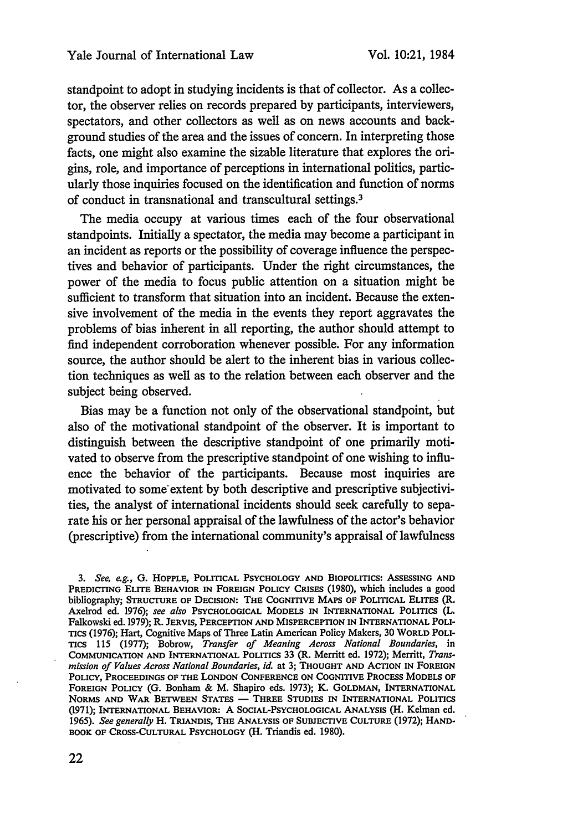standpoint to adopt in studying incidents is that of collector. As a collector, the observer relies on records prepared by participants, interviewers, spectators, and other collectors as well as on news accounts and background studies of the area and the issues of concern. In interpreting those facts, one might also examine the sizable literature that explores the origins, role, and importance of perceptions in international politics, particularly those inquiries focused on the identification and function of norms of conduct in transnational and transcultural settings.<sup>3</sup>

The media occupy at various times each of the four observational standpoints. Initially a spectator, the media may become a participant in an incident as reports or the possibility of coverage influence the perspectives and behavior of participants. Under the right circumstances, the power of the media to focus public attention on a situation might be sufficient to transform that situation into an incident. Because the extensive involvement of the media in the events they report aggravates the problems of bias inherent in all reporting, the author should attempt to find independent corroboration whenever possible. For any information source, the author should be alert to the inherent bias in various collection techniques as well as to the relation between each observer and the subject being observed.

Bias may be a function not only of the observational standpoint, but also of the motivational standpoint of the observer. It is important to distinguish between the descriptive standpoint of one primarily motivated to observe from the prescriptive standpoint of one wishing to influence the behavior of the participants. Because most inquiries are motivated to some extent by both descriptive and prescriptive subjectivities, the analyst of international incidents should seek carefully to separate his or her personal appraisal of the lawfulness of the actor's behavior (prescriptive) from the international community's appraisal of lawfulness

*3.* See, *e.g.,* **G. HOPPLE, POLITICAL PSYCHOLOGY AND BIOPOLITICS: ASSESSING AND PREDICTING ELITE BEHAVIOR IN FOREIGN POLICY CRISES** (1980), which includes a good bibliography; **STRUCTURE** OF **DECISION: THE COGNITIVE MAPS** OF POLITICAL **ELITES** (R. Axelrod ed. 1976); see *also* **PSYCHOLOGICAL MODELS IN INTERNATIONAL** POLITICS (L. Falkowski ed. 1979); R. JERVIS, PERCEPTION **AND** MISPERCEPTION **IN INTERNATIONAL POLI-TICS** (1976); Hart, Cognitive Maps of Three Latin American Policy Makers, 30 **WORLD** POLI-TICS 115 (1977); Bobrow, *Transfer of Meaning Across National Boundaries,* in COMMUNICATION **AND INTERNATIONAL** POLITICS 33 (R. Merritt ed. 1972); Merritt, *Transmission of Values Across National Boundaries, id.* at **3; THOUGHT AND ACTION** IN **FOREIGN POLICY, PROCEEDINGS OF THE LONDON CONFERENCE ON COGNITIVE PROCESS MODELS OF FOREIGN POLICY (G.** Bonham & M. **Shapiro eds.** 1973); K. **GOLDMAN, INTERNATIONAL NORMS AND WAR BETWEEN STATES - THREE STUDIES IN INTERNATIONAL POLITICS** (1971); **INTERNATIONAL BEHAVIOR:** A SOCIAL-PSYCHOLOGICAL **ANALYSIS** (H. Kelman ed. 1965). *See generally* H. **TRIANDIS,** THE ANALYSIS OF **SUBJECTIVE CULTURE** (1972); **HAND-BOOK** OF **CROSS-CULTURAL** PSYCHOLOGY (H. Triandis ed. 1980).

22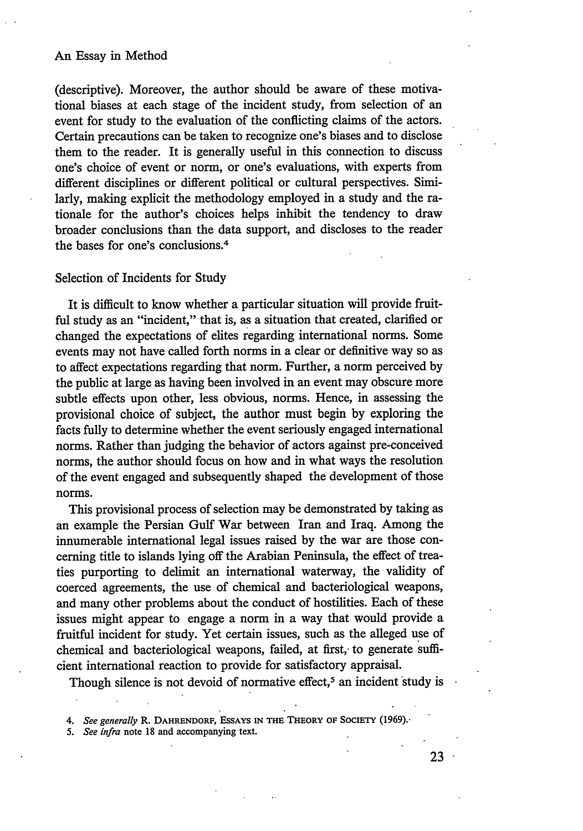#### An Essay in Method

(descriptive). Moreover, the author should be aware of these motivational biases at each stage of the incident study, from selection of an event for study to the evaluation of the conflicting claims of the actors. Certain precautions can be taken to recognize one's biases and to disclose them to the reader. It is generally useful in this connection to discuss one's choice of event or norm, or one's evaluations, with experts from different disciplines or different political or cultural perspectives. Similarly, making explicit the methodology employed in a study and the rationale for the author's choices helps inhibit the tendency to draw broader conclusions than the data support, and discloses to the reader the bases for one's conclusions.<sup>4</sup>

#### Selection of Incidents for Study

It is difficult to know whether a particular situation will provide fruitful study as an "incident," that is, as a situation that created, clarified or changed the expectations of elites regarding international norms. Some events may not have called forth norms in a clear or definitive way so as to affect expectations regarding that norm. Further, a norm perceived by the public at large as having been involved in an event may obscure more subtle effects upon other, less obvious, norms. Hence, in assessing the provisional choice of subject, the author must begin by exploring the facts fully to determine whether the event seriously engaged international norms. Rather than judging the behavior of actors against pre-conceived norms, the author should focus on how and in what ways the resolution of the event engaged and subsequently shaped the development of those norms.

This provisional process of selection may be demonstrated by taking as an example the Persian Gulf War between Iran and Iraq. Among the innumerable international legal issues raised by the war are those concerning title to islands lying off the Arabian Peninsula, the effect of treaties purporting to delimit an international waterway, the validity of coerced agreements, the use of chemical and bacteriological weapons, and many other problems about the conduct of hostilities. Each of these issues might appear to engage a norm in a way that would provide a fruitful incident for study. Yet certain issues, such as the alleged use of chemical and bacteriological weapons, failed, at first, to generate sufficient international reaction to provide for satisfactory appraisal.

Though silence is not devoid of normative effect,<sup>5</sup> an incident study is

*5. See infra* note 18 and accompanying text.

*<sup>4.</sup> See generally* R. DAHRENDORF, ESSAYS **IN THE THEORY OF SOCIETY** (1969)..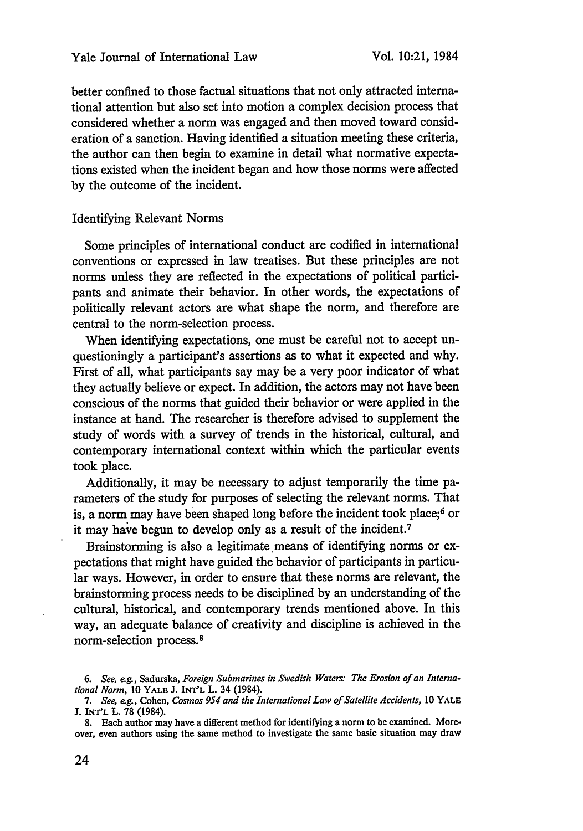better confined to those factual situations that not only attracted international attention but also set into motion a complex decision process that considered whether a norm was engaged and then moved toward consideration of a sanction. Having identified a situation meeting these criteria, the author can then begin to examine in detail what normative expectations existed when the incident began and how those norms were affected by the outcome of the incident.

## Identifying Relevant Norms

Some principles of international conduct are codified in international conventions or expressed in law treatises. But these principles are not norms unless they are reflected in the expectations of political participants and animate their behavior. In other words, the expectations of politically relevant actors are what shape the norm, and therefore are central to the norm-selection process.

When identifying expectations, one must be careful not to accept unquestioningly a participant's assertions as to what it expected and why. First of all, what participants say may be a very poor indicator of what they actually believe or expect. In addition, the actors may not have been conscious of the norms that guided their behavior or were applied in the instance at hand. The researcher is therefore advised to supplement the study of words with a survey of trends in the historical, cultural, and contemporary international context within which the particular events took place.

Additionally, it may be necessary to adjust temporarily the time parameters of the study for purposes of selecting the relevant norms. That is, a norm may have been shaped long before the incident took place;<sup>6</sup> or it may have begun to develop only as a result of the incident.<sup>7</sup>

Brainstorming is also a legitimate means of identifying norms or expectations that might have guided the behavior of participants in particular ways. However, in order to ensure that these norms are relevant, the brainstorming process needs to be disciplined by an understanding of the cultural, historical, and contemporary trends mentioned above. In this way, an adequate balance of creativity and discipline is achieved in the norm-selection process.8

*<sup>6.</sup> See,* eg., Sadurska, *Foreign Submarines in Swedish Waters: The Erosion of an International Norm,* 10 YALE J. INT'L L. 34 (1984).

*<sup>7.</sup> See, eg.,* Cohen, *Cosmos 954 and the International Law of Satellite Accidents,* 10 YALE J. **INT'L** L. 78 (1984).

<sup>8.</sup> Each author may have a different method for identifying a norm to be examined. Moreover, even authors using the same method to investigate the same basic situation may draw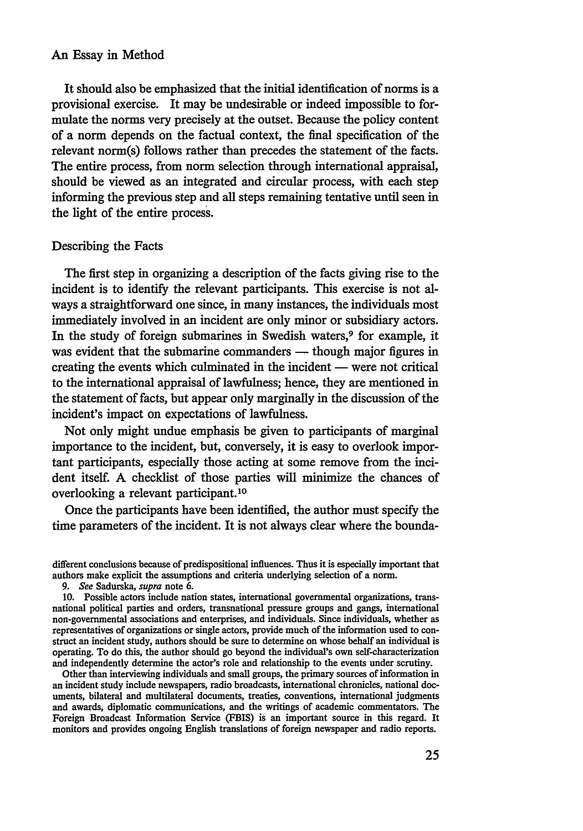## An Essay in Method

It should also be emphasized that the initial identification of norms is a provisional exercise. It may be undesirable or indeed impossible to formulate the norms very precisely at the outset. Because the policy content of a norm depends on the factual context, the final specification of the relevant norm(s) follows rather than precedes the statement of the facts. The entire process, from norm selection through international appraisal, should be viewed as an integrated and circular process, with each step informing the previous step and all steps remaining tentative until seen in the light of the entire process.

## Describing the Facts

The first step in organizing a description of the facts giving rise to the incident is to identify the relevant participants. This exercise is not always a straightforward one since, in many instances, the individuals most immediately involved in an incident are only minor or subsidiary actors. In the study of foreign submarines in Swedish waters,<sup>9</sup> for example, it was evident that the submarine commanders — though major figures in creating the events which culminated in the incident  $-$  were not critical to the international appraisal of lawfulness; hence, they are mentioned in the statement of facts, but appear only marginally in the discussion of the incident's impact on expectations of lawfulness.

Not only might undue emphasis be given to participants of marginal importance to the incident, but, conversely, it is easy to overlook important participants, especially those acting at some remove from the incident itself. A checklist of those parties will minimize the chances of overlooking a relevant participant. <sup>10</sup>

Once the participants have been identified, the author must specify the time parameters of the incident. It is not always clear where the bounda-

*9. See* Sadurska, *supra* note 6.

Other than interviewing individuals and small groups, the primary sources of information in an incident study include newspapers, radio broadcasts, international chronicles, national documents, bilateral and multilateral documents, treaties, conventions, international judgments and awards, diplomatic communications, and the writings of academic commentators. The Foreign Broadcast Information Service (FBIS) is an important source in this regard. It monitors and provides ongoing English translations of foreign newspaper and radio reports.

different conclusions because of predispositional influences. Thus it is especially important that authors make explicit the assumptions and criteria underlying selection of a norm.

<sup>10.</sup> Possible actors include nation states, international governmental organizations, transnational political parties and orders, transnational pressure groups and gangs, international non-governmental associations and enterprises, and individuals. Since individuals, whether as representatives of organizations or single actors, provide much of the information used to construct an incident study, authors should be sure to determine on whose behalf an individual is operating. To do this, the author should go beyond the individual's own self-characterization and independently determine the actor's role and relationship to the events under scrutiny.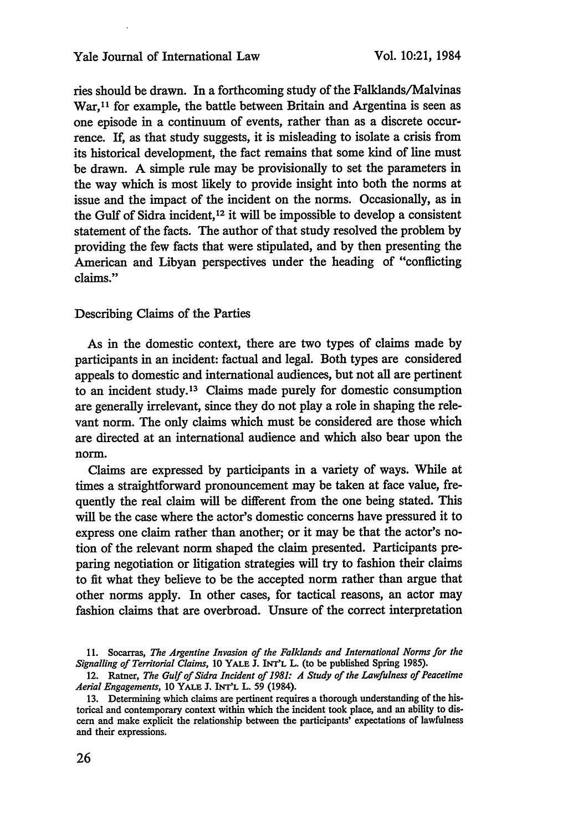ries should be drawn. In a forthcoming study of the Falklands/Malvinas War,<sup>11</sup> for example, the battle between Britain and Argentina is seen as one episode in a continuum of events, rather than as a discrete occurrence. If, as that study suggests, it is misleading to isolate a crisis from its historical development, the fact remains that some kind of line must be drawn. A simple rule may be provisionally to set the parameters in the way which is most likely to provide insight into both the norms at issue and the impact of the incident on the norms. Occasionally, as in the Gulf of Sidra incident,12 it will be impossible to develop a consistent statement of the facts. The author of that study resolved the problem by providing the few facts that were stipulated, and by then presenting the American and Libyan perspectives under the heading of "conflicting claims."

### Describing Claims of the Parties

As in the domestic context, there are two types of claims made by participants in an incident: factual and legal. Both types are considered appeals to domestic and international audiences, but not all are pertinent to an incident study.<sup>13</sup> Claims made purely for domestic consumption are generally irrelevant, since they do not play a role in shaping the relevant norm. The only claims which must be considered are those which are directed at an international audience and which also bear upon the norm.

Claims are expressed by participants in a variety of ways. While at times a straightforward pronouncement may be taken at face value, frequently the real claim will be different from the one being stated. This will be the case where the actor's domestic concerns have pressured it to express one claim rather than another; or it may be that the actor's notion of the relevant norm shaped the claim presented. Participants preparing negotiation or litigation strategies will try to fashion their claims to fit what they believe to be the accepted norm rather than argue that other norms apply. In other cases, for tactical reasons, an actor may fashion claims that are overbroad. Unsure of the correct interpretation

<sup>11.</sup> Socarras, *The Argentine Invasion of the Falklands and International Norms for the Signalling of Territorial Claims,* 10 YALE J. INT'L L. (to be published Spring 1985).

<sup>12.</sup> Ratner, *The Gulf of Sidra Incident of 1981: A Study of the Lawfulness of Peacetime Aerial Engagements,* 10 YALE **J.** INT'L L. 59 (1984).

<sup>13.</sup> Determining which claims are pertinent requires a thorough understanding of the historical and contemporary context within which the incident took place, and an ability to discern and make explicit the relationship between the participants' expectations of lawfulness and their expressions.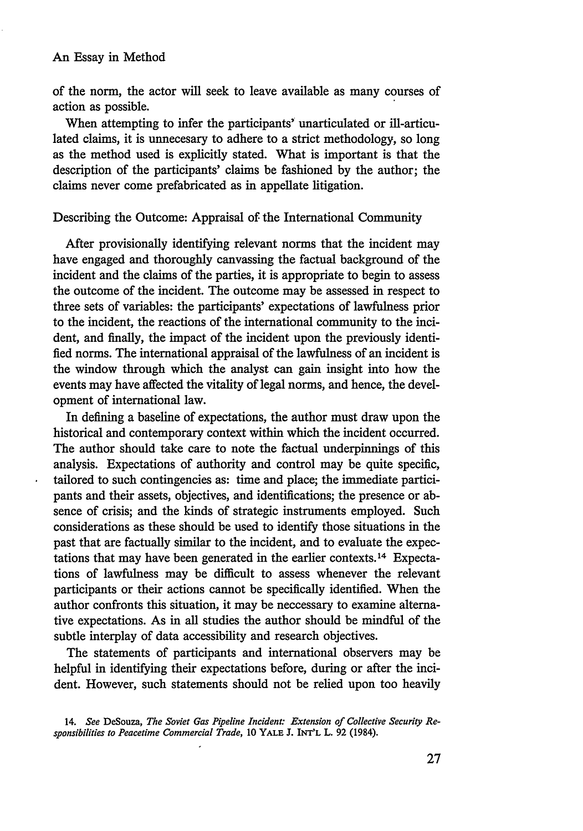#### An Essay in Method

of the norm, the actor will seek to leave available as many courses of action as possible.

When attempting to infer the participants' unarticulated or ill-articulated claims, it is unnecesary to adhere to a strict methodology, so long as the method used is explicitly stated. What is important is that the description of the participants' claims be fashioned by the author; the claims never come prefabricated as in appellate litigation.

### Describing the Outcome: Appraisal of the International Community

After provisionally identifying relevant norms that the incident may have engaged and thoroughly canvassing the factual background of the incident and the claims of the parties, it is appropriate to begin to assess the outcome of the incident. The outcome may be assessed in respect to three sets of variables: the participants' expectations of lawfulness prior to the incident, the reactions of the international community to the incident, and finally, the impact of the incident upon the previously identified norms. The international appraisal of the lawfulness of an incident is the window through which the analyst can gain insight into how the events may have affected the vitality of legal norms, and hence, the development of international law.

In defining a baseline of expectations, the author must draw upon the historical and contemporary context within which the incident occurred. The author should take care to note the factual underpinnings of this analysis. Expectations of authority and control may be quite specific, tailored to such contingencies as: time and place; the immediate participants and their assets, objectives, and identifications; the presence or absence of crisis; and the kinds of strategic instruments employed. Such considerations as these should be used to identify those situations in the past that are factually similar to the incident, and to evaluate the expectations that may have been generated in the earlier contexts. 14 Expectations of lawfulness may be difficult to assess whenever the relevant participants or their actions cannot be specifically identified. When the author confronts this situation, it may be neccessary to examine alternative expectations. As in all studies the author should be mindful of the subtle interplay of data accessibility and research objectives.

The statements of participants and international observers may be helpful in identifying their expectations before, during or after the incident. However, such statements should not be relied upon too heavily

<sup>14.</sup> *See* DeSouza, *The Soviet Gas Pipeline Incident: Extension of Collective Security Responsibilities to Peacetime Commercial Trade,* 10 YALE **J.** INT'L L. 92 (1984).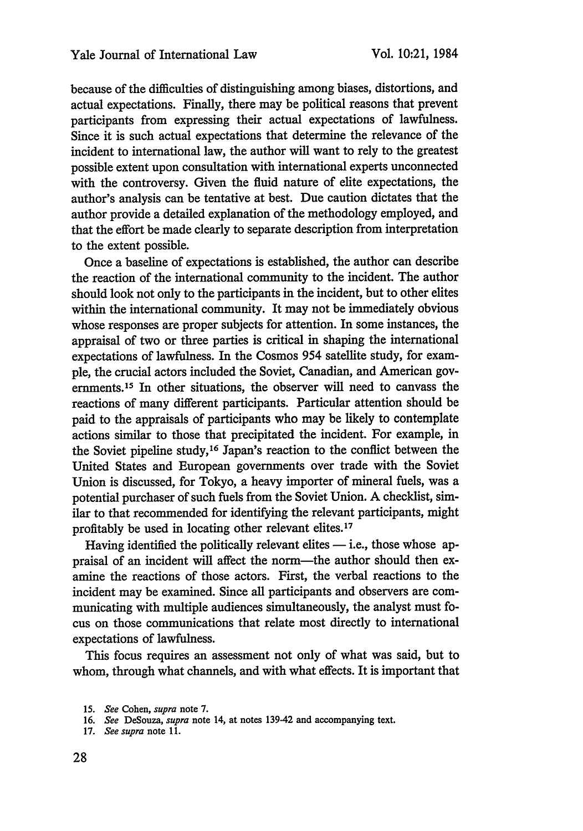because of the difficulties of distinguishing among biases, distortions, and actual expectations. Finally, there may be political reasons that prevent participants from expressing their actual expectations of lawfulness. Since it is such actual expectations that determine the relevance of the incident to international law, the author will want to rely to the greatest possible extent upon consultation with international experts unconnected with the controversy. Given the fluid nature of elite expectations, the author's analysis can be tentative at best. Due caution dictates that the author provide a detailed explanation of the methodology employed, and that the effort be made clearly to separate description from interpretation to the extent possible.

Once a baseline of expectations is established, the author can describe the reaction of the international community to the incident. The author should look not only to the participants in the incident, but to other elites within the international community. It may not be immediately obvious whose responses are proper subjects for attention. In some instances, the appraisal of two or three parties is critical in shaping the international expectations of lawfulness. In the Cosmos 954 satellite study, for example, the crucial actors included the Soviet, Canadian, and American governments.<sup>15</sup> In other situations, the observer will need to canvass the reactions of many different participants. Particular attention should be paid to the appraisals of participants who may be likely to contemplate actions similar to those that precipitated the incident. For example, in the Soviet pipeline study, 16 Japan's reaction to the conflict between the United States and European governments over trade with the Soviet Union is discussed, for Tokyo, a heavy importer of mineral fuels, was a potential purchaser of such fuels from the Soviet Union. A checklist, similar to that recommended for identifying the relevant participants, might profitably be used in locating other relevant elites. <sup>17</sup>

Having identified the politically relevant elites  $-$  i.e., those whose appraisal of an incident will affect the norm-the author should then examine the reactions of those actors. First, the verbal reactions to the incident may be examined. Since all participants and observers are communicating with multiple audiences simultaneously, the analyst must focus on those communications that relate most directly to international expectations of lawfulness.

This focus requires an assessment not only of what was said, but to whom, through what channels, and with what effects. It is important that

<sup>15.</sup> *See* Cohen, *supra* note 7.

<sup>16.</sup> *See* DeSouza, *supra* note 14, at notes 139-42 and accompanying text.

<sup>17.</sup> *See supra* note 11.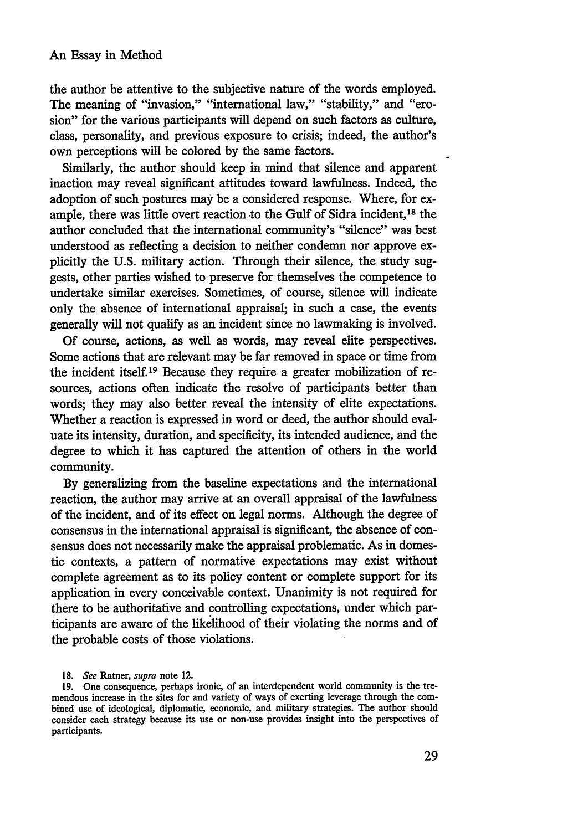the author be attentive to the subjective nature of the words employed. The meaning of "invasion," "international law," "stability," and "erosion" for the various participants will depend on such factors as culture, class, personality, and previous exposure to crisis; indeed, the author's own perceptions will be colored by the same factors.

Similarly, the author should keep in mind that silence and apparent inaction may reveal significant attitudes toward lawfulness. Indeed, the adoption of such postures may be a considered response. Where, for example, there was little overt reaction to the Gulf of Sidra incident, 18 the author concluded that the international community's "silence" was best understood as reflecting a decision to neither condemn nor approve explicitly the U.S. military action. Through their silence, the study suggests, other parties wished to preserve for themselves the competence to undertake similar exercises. Sometimes, of course, silence will indicate only the absence of international appraisal; in such a case, the events generally will not qualify as an incident since no lawmaking is involved.

Of course, actions, as well as words, may reveal elite perspectives. Some actions that are relevant may be far removed in space or time from the incident itself.19 Because they require a greater mobilization of resources, actions often indicate the resolve of participants better than words; they may also better reveal the intensity of elite expectations. Whether a reaction is expressed in word or deed, the author should evaluate its intensity, duration, and specificity, its intended audience, and the degree to which it has captured the attention of others in the world community.

By generalizing from the baseline expectations and the international reaction, the author may arrive at an overall appraisal of the lawfulness of the incident, and of its effect on legal norms. Although the degree of consensus in the international appraisal is significant, the absence of consensus does not necessarily make the appraisal problematic. As in domestic contexts, a pattern of normative expectations may exist without complete agreement as to its policy content or complete support for its application in every conceivable context. Unanimity is not required for there to be authoritative and controlling expectations, under which participants are aware of the likelihood of their violating the norms and of the probable costs of those violations.

*<sup>18.</sup> See* Ratner, *supra* note 12.

<sup>19.</sup> One consequence, perhaps ironic, of an interdependent world community is the tremendous increase in the sites for and variety of ways of exerting leverage through the combined use of ideological, diplomatic, economic, and military strategies. The author should consider each strategy because its use or non-use provides insight into the perspectives of participants.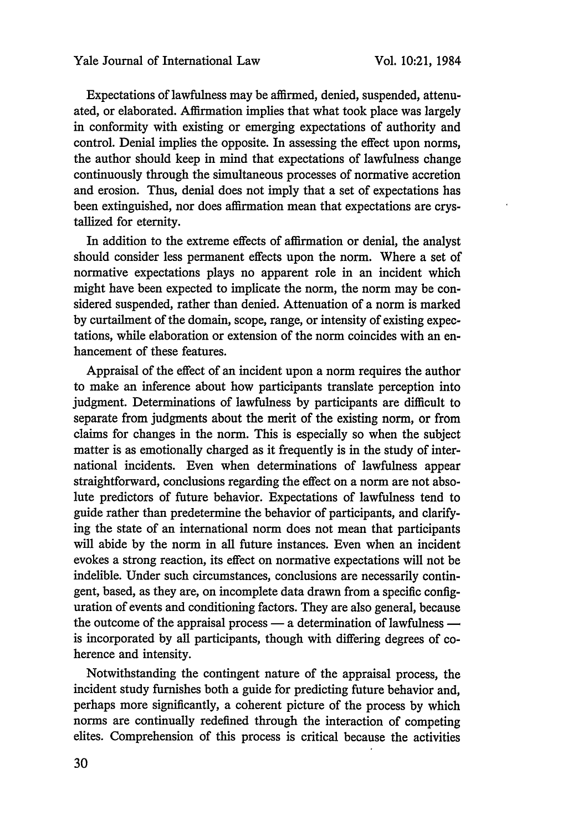Expectations of lawfulness may be affirmed, denied, suspended, attenuated, or elaborated. Affirmation implies that what took place was largely in conformity with existing or emerging expectations of authority and control. Denial implies the opposite. In assessing the effect upon norms, the author should keep in mind that expectations of lawfulness change continuously through the simultaneous processes of normative accretion and erosion. Thus, denial does not imply that a set of expectations has been extinguished, nor does affirmation mean that expectations are crystallized for eternity.

In addition to the extreme effects of affirmation or denial, the analyst should consider less permanent effects upon the norm. Where a set of normative expectations plays no apparent role in an incident which might have been expected to implicate the norm, the norm may be considered suspended, rather than denied. Attenuation of a norm is marked by curtailment of the domain, scope, range, or intensity of existing expectations, while elaboration or extension of the norm coincides with an enhancement of these features.

Appraisal of the effect of an incident upon a norm requires the author to make an inference about how participants translate perception into judgment. Determinations of lawfulness by participants are difficult to separate from judgments about the merit of the existing norm, or from claims for changes in the norm. This is especially so when the subject matter is as emotionally charged as it frequently is in the study of international incidents. Even when determinations of lawfulness appear straightforward, conclusions regarding the effect on a norm are not absolute predictors of future behavior. Expectations of lawfulness tend to guide rather than predetermine the behavior of participants, and clarifying the state of an international norm does not mean that participants will abide by the norm in all future instances. Even when an incident evokes a strong reaction, its effect on normative expectations will not be indelible. Under such circumstances, conclusions are necessarily contingent, based, as they are, on incomplete data drawn from a specific configuration of events and conditioning factors. They are also general, because the outcome of the appraisal process  $-$  a determination of lawfulness  $$ is incorporated by all participants, though with differing degrees of coherence and intensity.

Notwithstanding the contingent nature of the appraisal process, the incident study furnishes both a guide for predicting future behavior and, perhaps more significantly, a coherent picture of the process by which norms are continually redefined through the interaction of competing elites. Comprehension of this process is critical because the activities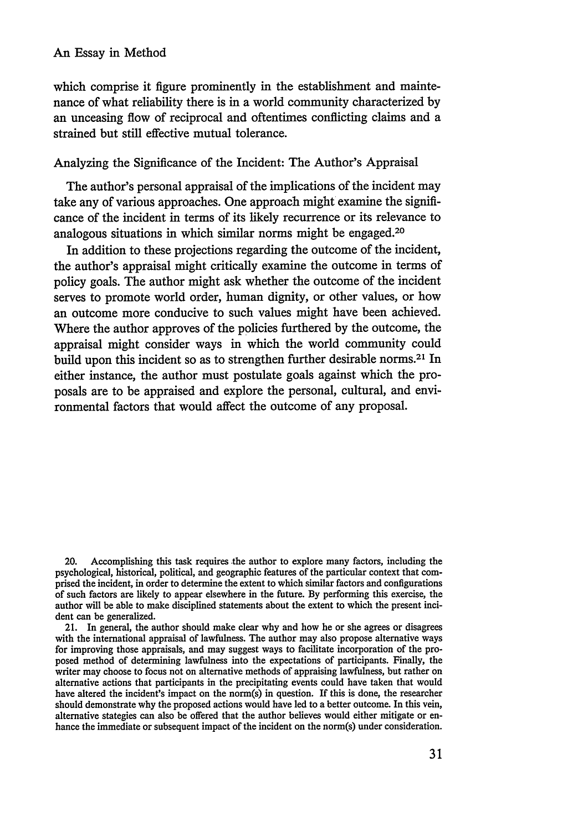which comprise it figure prominently in the establishment and maintenance of what reliability there is in a world community characterized by an unceasing flow of reciprocal and oftentimes conflicting claims and a strained but still effective mutual tolerance.

## Analyzing the Significance of the Incident: The Author's Appraisal

The author's personal appraisal of the implications of the incident may take any of various approaches. One approach might examine the significance of the incident in terms of its likely recurrence or its relevance to analogous situations in which similar norms might be engaged. <sup>20</sup>

In addition to these projections regarding the outcome of the incident, the author's appraisal might critically examine the outcome in terms of policy goals. The author might ask whether the outcome of the incident serves to promote world order, human dignity, or other values, or how an outcome more conducive to such values might have been achieved. Where the author approves of the policies furthered by the outcome, the appraisal might consider ways in which the world community could build upon this incident so as to strengthen further desirable norms.21 In either instance, the author must postulate goals against which the proposals are to be appraised and explore the personal, cultural, and environmental factors that would affect the outcome of any proposal.

20. Accomplishing this task requires the author to explore many factors, including the psychological, historical, political, and geographic features of the particular context that comprised the incident, in order to determine the extent to which similar factors and configurations of such factors are likely to appear elsewhere in the future. By performing this exercise, the author will be able to make disciplined statements about the extent to which the present incident can be generalized.

21. In general, the author should make clear why and how he or she agrees or disagrees with the international appraisal of lawfulness. The author may also propose alternative ways for improving those appraisals, and may suggest ways to facilitate incorporation of the proposed method of determining lawfulness into the expectations of participants. Finally, the writer may choose to focus not on alternative methods of appraising lawfulness, but rather on alternative actions that participants in the precipitating events could have taken that would have altered the incident's impact on the norm(s) in question. If this is done, the researcher should demonstrate why the proposed actions would have led to a better outcome. In this vein, alternative stategies can also be offered that the author believes would either mitigate or enhance the immediate or subsequent impact of the incident on the norm(s) under consideration.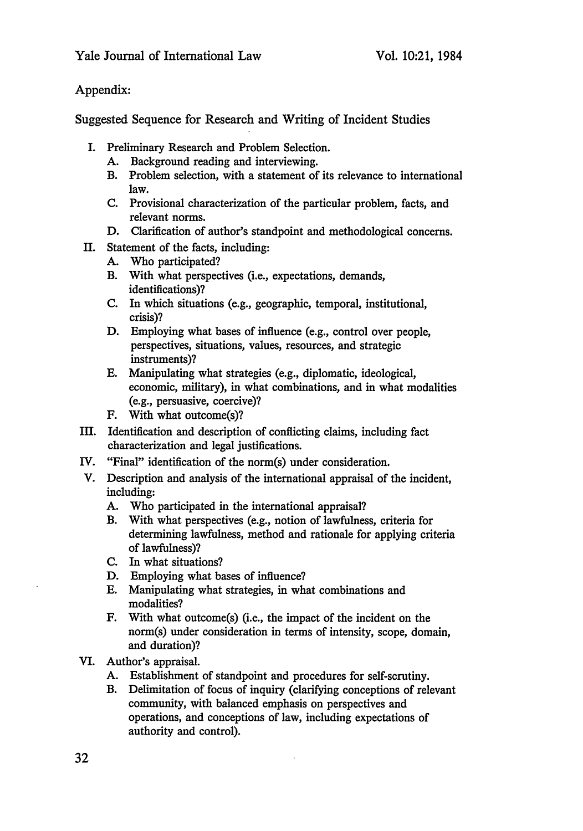## Appendix:

Suggested Sequence for Research and Writing of Incident Studies

- I. Preliminary Research and Problem Selection.
	- A. Background reading and interviewing.
	- B. Problem selection, with a statement of its relevance to international law.
	- C. Provisional characterization of the particular problem, facts, and relevant norms.
	- D. Clarification of author's standpoint and methodological concerns.
- II. Statement of the facts, including:
	- A. Who participated?
	- B. With what perspectives (i.e., expectations, demands, identifications)?
	- C. In which situations (e.g., geographic, temporal, institutional, crisis)?
	- D. Employing what bases of influence (e.g., control over people, perspectives, situations, values, resources, and strategic instruments)?
	- E. Manipulating what strategies (e.g., diplomatic, ideological, economic, military), in what combinations, and in what modalities (e.g., persuasive, coercive)?
	- F. With what outcome(s)?
- III. Identification and description of conflicting claims, including fact characterization and legal justifications.
- IV. "Final" identification of the norm(s) under consideration.
- V. Description and analysis of the international appraisal of the incident, including:
	- A. Who participated in the international appraisal?
	- B. With what perspectives (e.g., notion of lawfulness, criteria for determining lawfulness, method and rationale for applying criteria of lawfulness)?
	- C. In what situations?
	- D. Employing what bases of influence?
	- E. Manipulating what strategies, in what combinations and modalities?
	- F. With what outcome(s) (i.e., the impact of the incident on the norm(s) under consideration in terms of intensity, scope, domain, and duration)?
- VI. Author's appraisal.
	- A. Establishment of standpoint and procedures for self-scrutiny.
	- B. Delimitation of focus of inquiry (clarifying conceptions of relevant community, with balanced emphasis on perspectives and operations, and conceptions of law, including expectations of authority and control).